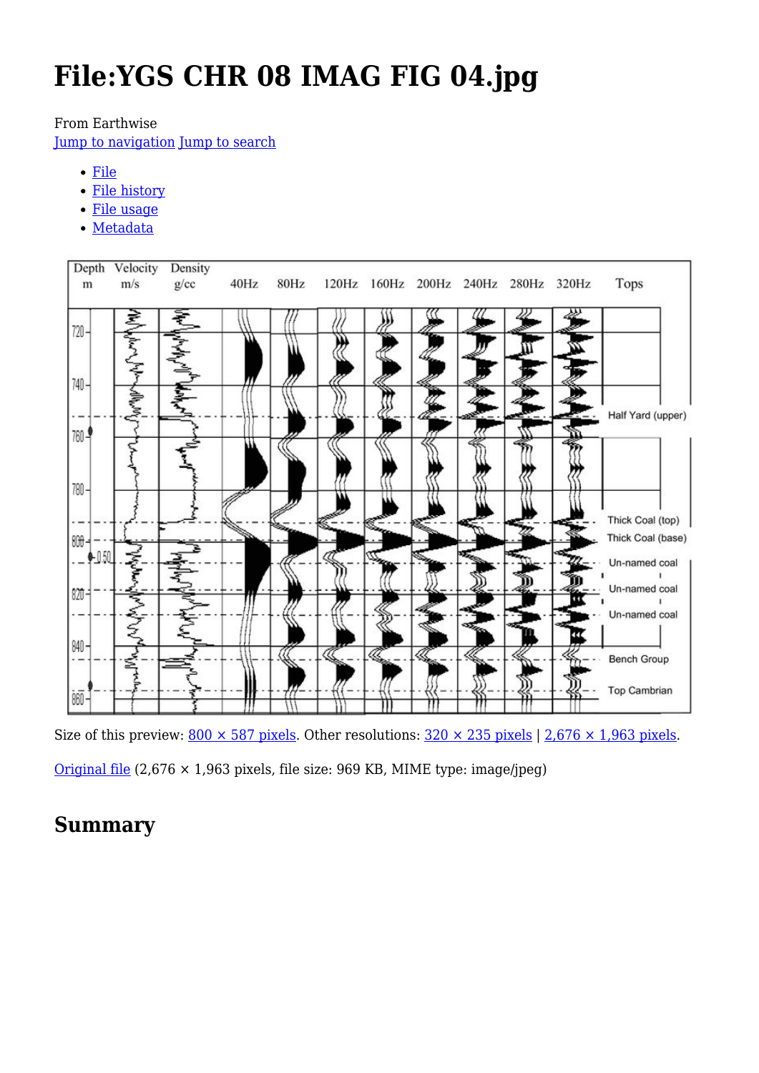# **File:YGS CHR 08 IMAG FIG 04.jpg**

From Earthwise

[Jump to navigation](#page--1-0) [Jump to search](#page--1-0)

- [File](#page--1-0)
- [File history](#page--1-0)
- [File usage](#page--1-0)
- [Metadata](#page--1-0)



Size of this preview:  $800 \times 587$  pixels. Other resolutions:  $320 \times 235$  pixels | 2,676  $\times$  1,963 pixels.

[Original file](http://earthwise.bgs.ac.uk/images/a/a1/YGS_CHR_08_IMAG_FIG_04.jpg) (2,676 × 1,963 pixels, file size: 969 KB, MIME type: image/jpeg)

# **Summary**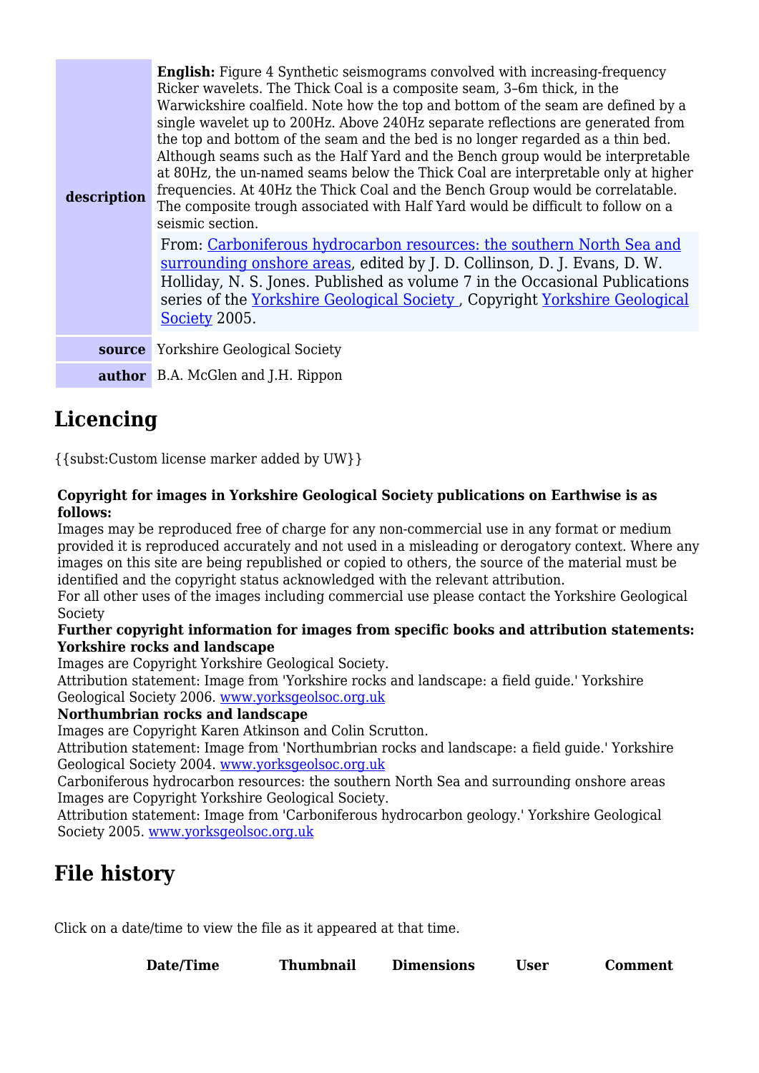| description | <b>English:</b> Figure 4 Synthetic seismograms convolved with increasing-frequency<br>Ricker wavelets. The Thick Coal is a composite seam, 3-6m thick, in the<br>Warwickshire coalfield. Note how the top and bottom of the seam are defined by a<br>single wavelet up to 200Hz. Above 240Hz separate reflections are generated from<br>the top and bottom of the seam and the bed is no longer regarded as a thin bed.<br>Although seams such as the Half Yard and the Bench group would be interpretable<br>at 80Hz, the un-named seams below the Thick Coal are interpretable only at higher<br>frequencies. At 40Hz the Thick Coal and the Bench Group would be correlatable.<br>The composite trough associated with Half Yard would be difficult to follow on a<br>seismic section.<br>From: Carboniferous hydrocarbon resources: the southern North Sea and<br>surrounding onshore areas, edited by J. D. Collinson, D. J. Evans, D. W.<br>Holliday, N. S. Jones. Published as volume 7 in the Occasional Publications<br>series of the Yorkshire Geological Society, Copyright Yorkshire Geological<br>Society 2005. |
|-------------|------------------------------------------------------------------------------------------------------------------------------------------------------------------------------------------------------------------------------------------------------------------------------------------------------------------------------------------------------------------------------------------------------------------------------------------------------------------------------------------------------------------------------------------------------------------------------------------------------------------------------------------------------------------------------------------------------------------------------------------------------------------------------------------------------------------------------------------------------------------------------------------------------------------------------------------------------------------------------------------------------------------------------------------------------------------------------------------------------------------------------|
| source      | <b>Yorkshire Geological Society</b>                                                                                                                                                                                                                                                                                                                                                                                                                                                                                                                                                                                                                                                                                                                                                                                                                                                                                                                                                                                                                                                                                          |
|             | <b>author</b> B.A. McGlen and J.H. Rippon                                                                                                                                                                                                                                                                                                                                                                                                                                                                                                                                                                                                                                                                                                                                                                                                                                                                                                                                                                                                                                                                                    |

### **Licencing**

{{subst:Custom license marker added by UW}}

#### **Copyright for images in Yorkshire Geological Society publications on Earthwise is as follows:**

Images may be reproduced free of charge for any non-commercial use in any format or medium provided it is reproduced accurately and not used in a misleading or derogatory context. Where any images on this site are being republished or copied to others, the source of the material must be identified and the copyright status acknowledged with the relevant attribution.

For all other uses of the images including commercial use please contact the Yorkshire Geological Society

#### **Further copyright information for images from specific books and attribution statements: Yorkshire rocks and landscape**

Images are Copyright Yorkshire Geological Society.

Attribution statement: Image from 'Yorkshire rocks and landscape: a field guide.' Yorkshire Geological Society 2006. [www.yorksgeolsoc.org.uk](http://www.yorksgeolsoc.org.uk)

#### **Northumbrian rocks and landscape**

Images are Copyright Karen Atkinson and Colin Scrutton.

Attribution statement: Image from 'Northumbrian rocks and landscape: a field guide.' Yorkshire Geological Society 2004. [www.yorksgeolsoc.org.uk](http://www.yorksgeolsoc.org.uk)

Carboniferous hydrocarbon resources: the southern North Sea and surrounding onshore areas Images are Copyright Yorkshire Geological Society.

Attribution statement: Image from 'Carboniferous hydrocarbon geology.' Yorkshire Geological Society 2005. [www.yorksgeolsoc.org.uk](http://www.yorksgeolsoc.org.uk)

# **File history**

Click on a date/time to view the file as it appeared at that time.

**Date/Time Thumbnail Dimensions User Comment**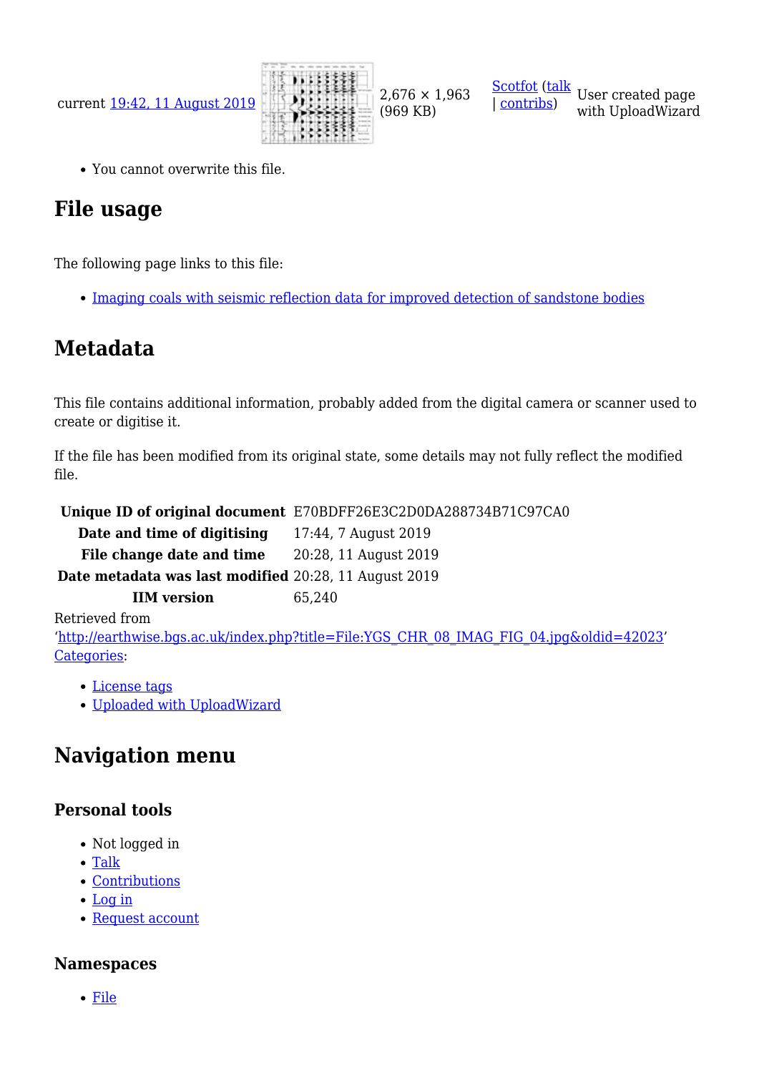

(969 KB)

[Scotfot](http://earthwise.bgs.ac.uk/index.php/User:Scotfot) ([talk](http://earthwise.bgs.ac.uk/index.php/User_talk:Scotfot) User created page | [contribs\)](http://earthwise.bgs.ac.uk/index.php/Special:Contributions/Scotfot) with UploadWizard

You cannot overwrite this file.

# **File usage**

The following page links to this file:

• [Imaging coals with seismic reflection data for improved detection of sandstone bodies](http://earthwise.bgs.ac.uk/index.php/Imaging_coals_with_seismic_reflection_data_for_improved_detection_of_sandstone_bodies)

### **Metadata**

This file contains additional information, probably added from the digital camera or scanner used to create or digitise it.

If the file has been modified from its original state, some details may not fully reflect the modified file.

|                                                       | Unique ID of original document E70BDFF26E3C2D0DA288734B71C97CA0 |
|-------------------------------------------------------|-----------------------------------------------------------------|
| Date and time of digitising                           | 17:44, 7 August 2019                                            |
| File change date and time                             | 20:28, 11 August 2019                                           |
| Date metadata was last modified 20:28, 11 August 2019 |                                                                 |
| <b>IIM</b> version                                    | 65,240                                                          |
| Retrieved from                                        |                                                                 |

'[http://earthwise.bgs.ac.uk/index.php?title=File:YGS\\_CHR\\_08\\_IMAG\\_FIG\\_04.jpg&oldid=42023'](http://earthwise.bgs.ac.uk/index.php?title=File:YGS_CHR_08_IMAG_FIG_04.jpg&oldid=42023) [Categories:](http://earthwise.bgs.ac.uk/index.php/Special:Categories)

- [License tags](http://earthwise.bgs.ac.uk/index.php/Category:License_tags)
- [Uploaded with UploadWizard](http://earthwise.bgs.ac.uk/index.php/Category:Uploaded_with_UploadWizard)

# **Navigation menu**

### **Personal tools**

- Not logged in
- [Talk](http://earthwise.bgs.ac.uk/index.php/Special:MyTalk)
- [Contributions](http://earthwise.bgs.ac.uk/index.php/Special:MyContributions)
- [Log in](http://earthwise.bgs.ac.uk/index.php?title=Special:UserLogin&returnto=File%3AYGS+CHR+08+IMAG+FIG+04.jpg&returntoquery=action%3Dmpdf)
- [Request account](http://earthwise.bgs.ac.uk/index.php/Special:RequestAccount)

### **Namespaces**

[File](http://earthwise.bgs.ac.uk/index.php/File:YGS_CHR_08_IMAG_FIG_04.jpg)